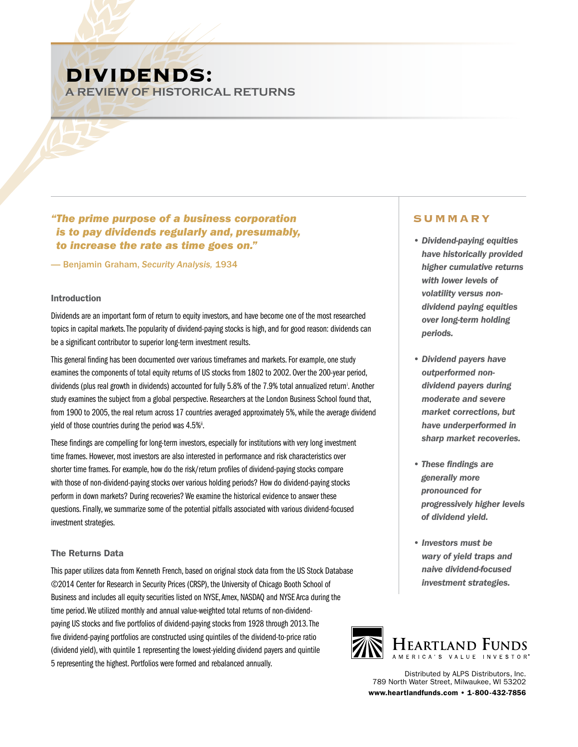# **DIVIDENDS:**

**A REVIEW OF HISTORICAL RETURNS**

*"The prime purpose of a business corporation is to pay dividends regularly and, presumably, to increase the rate as time goes on."*

— Benjamin Graham, *Security Analysis,* 1934

## Introduction

Dividends are an important form of return to equity investors, and have become one of the most researched topics in capital markets. The popularity of dividend-paying stocks is high, and for good reason: dividends can be a significant contributor to superior long-term investment results.

This general finding has been documented over various timeframes and markets. For example, one study examines the components of total equity returns of US stocks from 1802 to 2002. Over the 200-year period, dividends (plus real growth in dividends) accounted for fully 5.8% of the 7.9% total annualized return<sup>i</sup>. Another study examines the subject from a global perspective. Researchers at the London Business School found that, from 1900 to 2005, the real return across 17 countries averaged approximately 5%, while the average dividend yield of those countries during the period was  $4.5\%$ ".

These findings are compelling for long-term investors, especially for institutions with very long investment time frames. However, most investors are also interested in performance and risk characteristics over shorter time frames. For example, how do the risk/return profiles of dividend-paying stocks compare with those of non-dividend-paying stocks over various holding periods? How do dividend-paying stocks perform in down markets? During recoveries? We examine the historical evidence to answer these questions. Finally, we summarize some of the potential pitfalls associated with various dividend-focused investment strategies.

# The Returns Data

This paper utilizes data from Kenneth French, based on original stock data from the US Stock Database ©2014 Center for Research in Security Prices (CRSP), the University of Chicago Booth School of Business and includes all equity securities listed on NYSE, Amex, NASDAQ and NYSE Arca during the time period. We utilized monthly and annual value-weighted total returns of non-dividendpaying US stocks and five portfolios of dividend-paying stocks from 1928 through 2013. The five dividend-paying portfolios are constructed using quintiles of the dividend-to-price ratio (dividend yield), with quintile 1 representing the lowest-yielding dividend payers and quintile 5 representing the highest. Portfolios were formed and rebalanced annually.

# **Summary**

- *Dividend-paying equities have historically provided higher cumulative returns with lower levels of volatility versus nondividend paying equities over long-term holding periods.*
- *Dividend payers have outperformed nondividend payers during moderate and severe market corrections, but have underperformed in sharp market recoveries.*
- *These findings are generally more pronounced for progressively higher levels of dividend yield.*
- *Investors must be wary of yield traps and naive dividend-focused investment strategies.*



Distributed by ALPS Distributors, Inc. 789 North Water Street, Milwaukee, WI 53202 www.heartlandfunds.com • 1-800-432-7856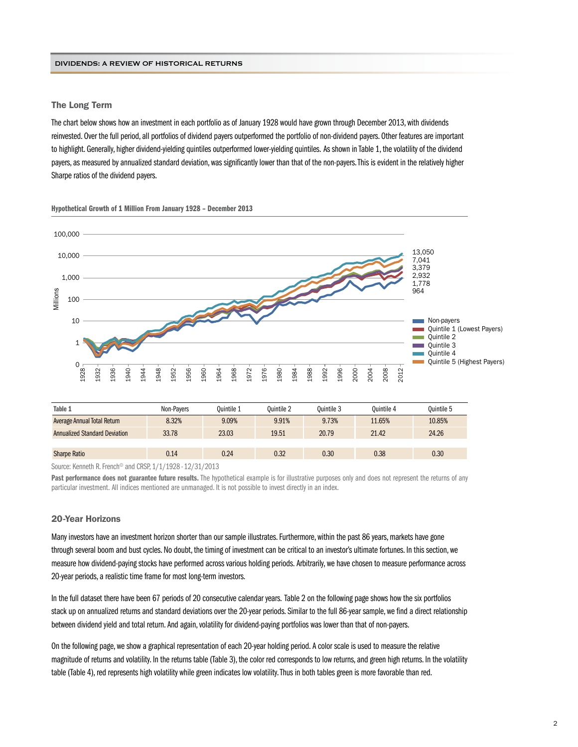#### The Long Term

The chart below shows how an investment in each portfolio as of January 1928 would have grown through December 2013, with dividends reinvested. Over the full period, all portfolios of dividend payers outperformed the portfolio of non-dividend payers. Other features are important to highlight. Generally, higher dividend-yielding quintiles outperformed lower-yielding quintiles. As shown in Table 1, the volatility of the dividend payers, as measured by annualized standard deviation, was significantly lower than that of the non-payers. This is evident in the relatively higher Sharpe ratios of the dividend payers.



Hypothetical Growth of 1 Million From January 1928 – December 2013

| Table 1                              | Non-Pavers | Ouintile 1 | Ouintile 2 | Ouintile 3 | Ouintile 4 | Ouintile 5 |
|--------------------------------------|------------|------------|------------|------------|------------|------------|
| Average Annual Total Return          | 8.32%      | 9.09%      | 9.91%      | 9.73%      | 11.65%     | 10.85%     |
| <b>Annualized Standard Deviation</b> | 33.78      | 23.03      | 19.51      | 20.79      | 21.42      | 24.26      |
|                                      |            |            |            |            |            |            |
| <b>Sharpe Ratio</b>                  | 0.14       | 0.24       | 0.32       | 0.30       | 0.38       | 0.30       |
|                                      |            |            |            |            |            |            |

Source: Kenneth R. French<sup>®</sup> and CRSP, 1/1/1928 - 12/31/2013

Past performance does not guarantee future results. The hypothetical example is for illustrative purposes only and does not represent the returns of any particular investment. All indices mentioned are unmanaged. It is not possible to invest directly in an index.

### 20-Year Horizons

Many investors have an investment horizon shorter than our sample illustrates. Furthermore, within the past 86 years, markets have gone through several boom and bust cycles. No doubt, the timing of investment can be critical to an investor's ultimate fortunes. In this section, we measure how dividend-paying stocks have performed across various holding periods. Arbitrarily, we have chosen to measure performance across 20-year periods, a realistic time frame for most long-term investors.

In the full dataset there have been 67 periods of 20 consecutive calendar years. Table 2 on the following page shows how the six portfolios stack up on annualized returns and standard deviations over the 20-year periods. Similar to the full 86-year sample, we find a direct relationship between dividend yield and total return. And again, volatility for dividend-paying portfolios was lower than that of non-payers.

On the following page, we show a graphical representation of each 20-year holding period. A color scale is used to measure the relative magnitude of returns and volatility. In the returns table (Table 3), the color red corresponds to low returns, and green high returns. In the volatility table (Table 4), red represents high volatility while green indicates low volatility. Thus in both tables green is more favorable than red.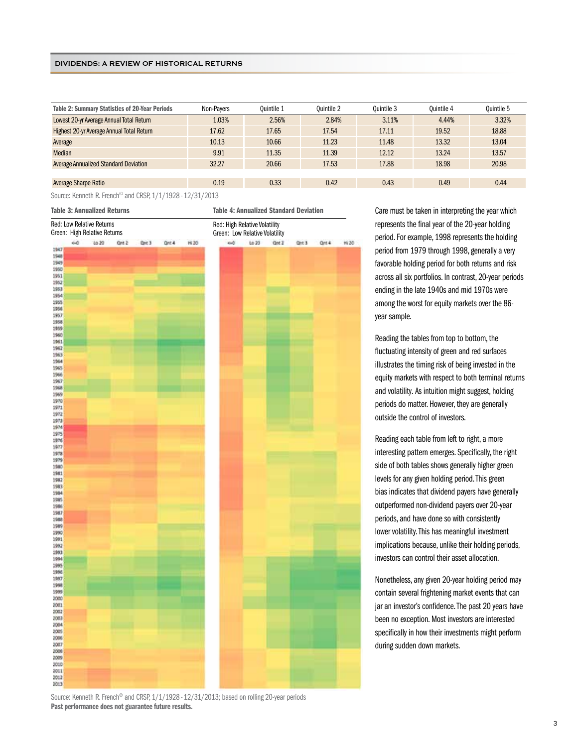| <b>Table 2: Summary Statistics of 20-Year Periods</b> | Non-Payers | Ouintile 1 | Ouintile 2 | Ouintile 3 | Ouintile 4 | Quintile 5 |
|-------------------------------------------------------|------------|------------|------------|------------|------------|------------|
| Lowest 20-yr Average Annual Total Return              | 1.03%      | 2.56%      | 2.84%      | 3.11%      | 4.44%      | 3.32%      |
| Highest 20-yr Average Annual Total Return             | 17.62      | 17.65      | 17.54      | 17.11      | 19.52      | 18.88      |
| Average                                               | 10.13      | 10.66      | 11.23      | 11.48      | 13.32      | 13.04      |
| Median                                                | 9.91       | 11.35      | 11.39      | 12.12      | 13.24      | 13.57      |
| <b>Average Annualized Standard Deviation</b>          | 32.27      | 20.66      | 17.53      | 17.88      | 18.98      | 20.98      |
|                                                       |            |            |            |            |            |            |
| Average Sharpe Ratio                                  | 0.19       | 0.33       | 0.42       | 0.43       | 0.49       | 0.44       |
| .                                                     |            |            |            |            |            |            |

Source: Kenneth R. French© and CRSP, 1/1/1928 - 12/31/2013

Care must be taken in interpreting the year which represents the final year of the 20-year holding period. For example, 1998 represents the holding period from 1979 through 1998, generally a very favorable holding period for both returns and risk across all six portfolios. In contrast, 20-year periods ending in the late 1940s and mid 1970s were among the worst for equity markets over the 86 year sample.

Reading the tables from top to bottom, the fluctuating intensity of green and red surfaces illustrates the timing risk of being invested in the equity markets with respect to both terminal returns and volatility. As intuition might suggest, holding periods do matter. However, they are generally outside the control of investors.

Reading each table from left to right, a more interesting pattern emerges. Specifically, the right side of both tables shows generally higher green levels for any given holding period. This green bias indicates that dividend payers have generally outperformed non-dividend payers over 20-year periods, and have done so with consistently lower volatility. This has meaningful investment implications because, unlike their holding periods, investors can control their asset allocation.

Nonetheless, any given 20-year holding period may contain several frightening market events that can jar an investor's confidence. The past 20 years have been no exception. Most investors are interested specifically in how their investments might perform during sudden down markets.

Source: Kenneth R. French<sup>®</sup> and CRSP, 1/1/1928 - 12/31/2013; based on rolling 20-year periods Past performance does not guarantee future results.

2013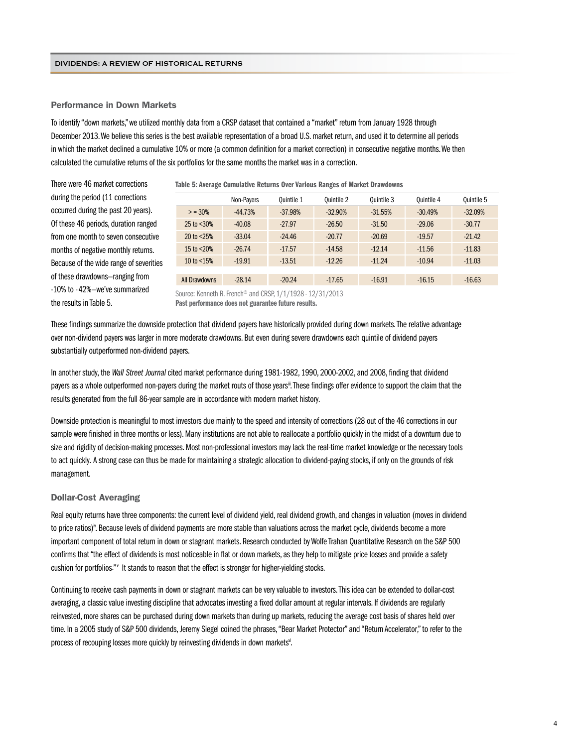#### Performance in Down Markets

To identify "down markets," we utilized monthly data from a CRSP dataset that contained a "market" return from January 1928 through December 2013. We believe this series is the best available representation of a broad U.S. market return, and used it to determine all periods in which the market declined a cumulative 10% or more (a common definition for a market correction) in consecutive negative months. We then calculated the cumulative returns of the six portfolios for the same months the market was in a correction.

There were 46 market corrections during the period (11 corrections occurred during the past 20 years). Of these 46 periods, duration ranged from one month to seven consecutive months of negative monthly returns. Because of the wide range of severities of these drawdowns—ranging from -10% to -42%—we've summarized the results in Table 5.

Table 5: Average Cumulative Returns Over Various Ranges of Market Drawdowns

|                     | Non-Payers | <b>Ouintile 1</b> | Ouintile 2 | Ouintile 3 | Quintile 4 | Quintile 5 |
|---------------------|------------|-------------------|------------|------------|------------|------------|
| $> 30\%$            | $-44.73%$  | $-37.98%$         | $-32.90%$  | $-31.55%$  | $-30.49%$  | $-32.09%$  |
| $25$ to $\leq 30\%$ | $-40.08$   | $-27.97$          | $-26.50$   | $-31.50$   | $-29.06$   | $-30.77$   |
| 20 to $< 25%$       | $-33.04$   | $-24.46$          | $-20.77$   | $-20.69$   | $-19.57$   | $-21.42$   |
| 15 to $< 20%$       | $-26.74$   | $-17.57$          | $-14.58$   | $-12.14$   | $-11.56$   | $-11.83$   |
| 10 to $<$ 15%       | $-19.91$   | $-13.51$          | $-12.26$   | $-11.24$   | $-10.94$   | $-11.03$   |
|                     |            |                   |            |            |            |            |
| All Drawdowns       | $-28.14$   | $-20.24$          | $-17.65$   | $-16.91$   | $-16.15$   | $-16.63$   |
|                     |            |                   |            |            |            |            |

Source: Kenneth R. French© and CRSP, 1/1/1928 - 12/31/2013 Past performance does not guarantee future results.

These findings summarize the downside protection that dividend payers have historically provided during down markets. The relative advantage over non-dividend payers was larger in more moderate drawdowns. But even during severe drawdowns each quintile of dividend payers substantially outperformed non-dividend payers.

In another study, the *Wall Street Journal* cited market performance during 1981-1982, 1990, 2000-2002, and 2008, finding that dividend payers as a whole outperformed non-payers during the market routs of those years<sup>ii</sup>. These findings offer evidence to support the claim that the results generated from the full 86-year sample are in accordance with modern market history.

Downside protection is meaningful to most investors due mainly to the speed and intensity of corrections (28 out of the 46 corrections in our sample were finished in three months or less). Many institutions are not able to reallocate a portfolio quickly in the midst of a downturn due to size and rigidity of decision-making processes. Most non-professional investors may lack the real-time market knowledge or the necessary tools to act quickly. A strong case can thus be made for maintaining a strategic allocation to dividend-paying stocks, if only on the grounds of risk management.

#### Dollar-Cost Averaging

Real equity returns have three components: the current level of dividend yield, real dividend growth, and changes in valuation (moves in dividend to price ratios)<sup>iv</sup>. Because levels of dividend payments are more stable than valuations across the market cycle, dividends become a more important component of total return in down or stagnant markets. Research conducted by Wolfe Trahan Quantitative Research on the S&P 500 confirms that "the effect of dividends is most noticeable in flat or down markets, as they help to mitigate price losses and provide a safety cushion for portfolios." It stands to reason that the effect is stronger for higher-vielding stocks.

Continuing to receive cash payments in down or stagnant markets can be very valuable to investors. This idea can be extended to dollar-cost averaging, a classic value investing discipline that advocates investing a fixed dollar amount at regular intervals. If dividends are regularly reinvested, more shares can be purchased during down markets than during up markets, reducing the average cost basis of shares held over time. In a 2005 study of S&P 500 dividends, Jeremy Siegel coined the phrases, "Bear Market Protector" and "Return Accelerator," to refer to the process of recouping losses more quickly by reinvesting dividends in down markets<sup>vi</sup>.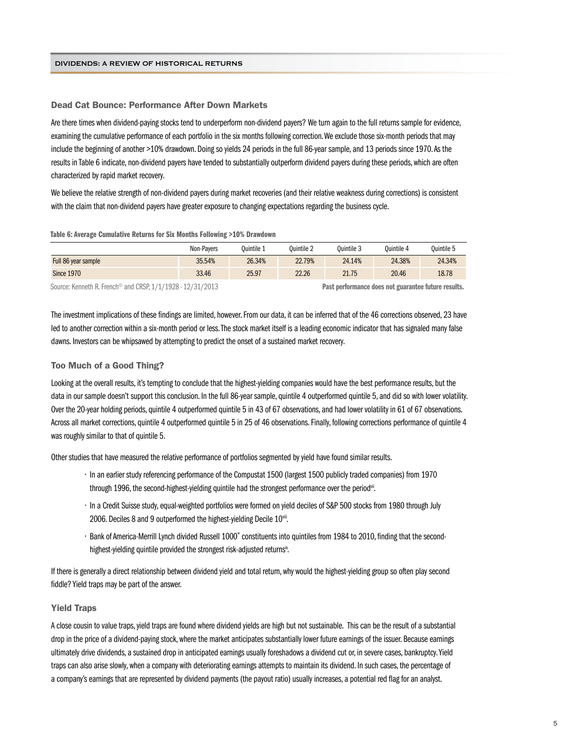#### Dead Cat Bounce: Performance After Down Markets

Are there times when dividend-paying stocks tend to underperform non-dividend payers? We turn again to the full returns sample for evidence, examining the cumulative performance of each portfolio in the six months following correction. We exclude those six-month periods that may include the beginning of another >10% drawdown. Doing so yields 24 periods in the full 86-year sample, and 13 periods since 1970. As the results in Table 6 indicate, non-dividend payers have tended to substantially outperform dividend payers during these periods, which are often characterized by rapid market recovery.

We believe the relative strength of non-dividend payers during market recoveries (and their relative weakness during corrections) is consistent with the claim that non-dividend payers have greater exposure to changing expectations regarding the business cycle.

#### Table 6: Average Cumulative Returns for Six Months Following >10% Drawdown

|                     | Non-Pavers | Ouintile 1 | Ouintile 2 | Ouintile 3 | Ouintile 4 | Ouintile 5 |
|---------------------|------------|------------|------------|------------|------------|------------|
| Full 86 year sample | 35.54%     | 26.34%     | 22.79%     | 24.14%     | 24.38%     | 24.34%     |
| <b>Since 1970</b>   | 33.46      | 25.97      | 22.26      | 21.75      | 20.46      | 18.78      |

Source: Kenneth R. French<sup>©</sup> and CRSP, 1/1/1928 - 12/31/2013 **Past performance does not guarantee future results.** 

The investment implications of these findings are limited, however. From our data, it can be inferred that of the 46 corrections observed, 23 have led to another correction within a six-month period or less. The stock market itself is a leading economic indicator that has signaled many false dawns. Investors can be whipsawed by attempting to predict the onset of a sustained market recovery.

#### Too Much of a Good Thing?

Looking at the overall results, it's tempting to conclude that the highest-yielding companies would have the best performance results, but the data in our sample doesn't support this conclusion. In the full 86-year sample, quintile 4 outperformed quintile 5, and did so with lower volatility. Over the 20-year holding periods, quintile 4 outperformed quintile 5 in 43 of 67 observations, and had lower volatility in 61 of 67 observations. Across all market corrections, quintile 4 outperformed quintile 5 in 25 of 46 observations. Finally, following corrections performance of quintile 4 was roughly similar to that of quintile 5.

Other studies that have measured the relative performance of portfolios segmented by yield have found similar results.

- In an earlier study referencing performance of the Compustat 1500 (largest 1500 publicly traded companies) from 1970 through 1996, the second-highest-yielding quintile had the strongest performance over the period<sup>vii</sup>.
- In a Credit Suisse study, equal-weighted portfolios were formed on yield deciles of S&P 500 stocks from 1980 through July 2006. Deciles 8 and 9 outperformed the highest-yielding Decile 10viii.
- · Bank of America-Merrill Lynch divided Russell 1000° constituents into quintiles from 1984 to 2010, finding that the secondhighest-yielding quintile provided the strongest risk-adjusted returnsix.

If there is generally a direct relationship between dividend yield and total return, why would the highest-yielding group so often play second fiddle? Yield traps may be part of the answer.

#### Yield Traps

A close cousin to value traps, yield traps are found where dividend yields are high but not sustainable. This can be the result of a substantial drop in the price of a dividend-paying stock, where the market anticipates substantially lower future earnings of the issuer. Because earnings ultimately drive dividends, a sustained drop in anticipated earnings usually foreshadows a dividend cut or, in severe cases, bankruptcy. Yield traps can also arise slowly, when a company with deteriorating earnings attempts to maintain its dividend. In such cases, the percentage of a company's earnings that are represented by dividend payments (the payout ratio) usually increases, a potential red flag for an analyst.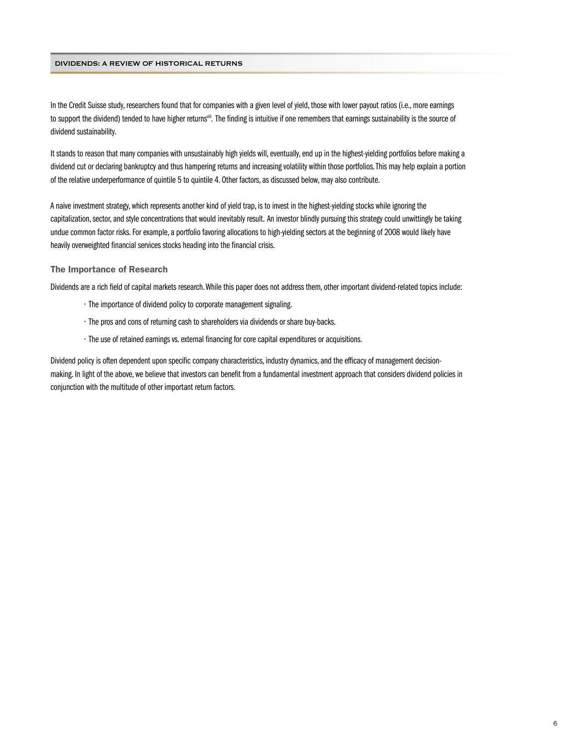In the Credit Suisse study, researchers found that for companies with a given level of yield, those with lower payout ratios (i.e., more earnings to support the dividend) tended to have higher returns<sup>wii</sup>. The finding is intuitive if one remembers that earnings sustainability is the source of dividend sustainability.

It stands to reason that many companies with unsustainably high yields will, eventually, end up in the highest-yielding portfolios before making a dividend cut or declaring bankruptcy and thus hampering returns and increasing volatility within those portfolios. This may help explain a portion of the relative underperformance of quintile 5 to quintile 4. Other factors, as discussed below, may also contribute.

A naive investment strategy, which represents another kind of yield trap, is to invest in the highest-yielding stocks while ignoring the capitalization, sector, and style concentrations that would inevitably result. An investor blindly pursuing this strategy could unwittingly be taking undue common factor risks. For example, a portfolio favoring allocations to high-yielding sectors at the beginning of 2008 would likely have heavily overweighted financial services stocks heading into the financial crisis.

#### The Importance of Research

Dividends are a rich field of capital markets research. While this paper does not address them, other important dividend-related topics include:

- The importance of dividend policy to corporate management signaling.
- The pros and cons of returning cash to shareholders via dividends or share buy-backs.
- The use of retained earnings vs. external financing for core capital expenditures or acquisitions.

Dividend policy is often dependent upon specific company characteristics, industry dynamics, and the efficacy of management decisionmaking. In light of the above, we believe that investors can benefit from a fundamental investment approach that considers dividend policies in conjunction with the multitude of other important return factors.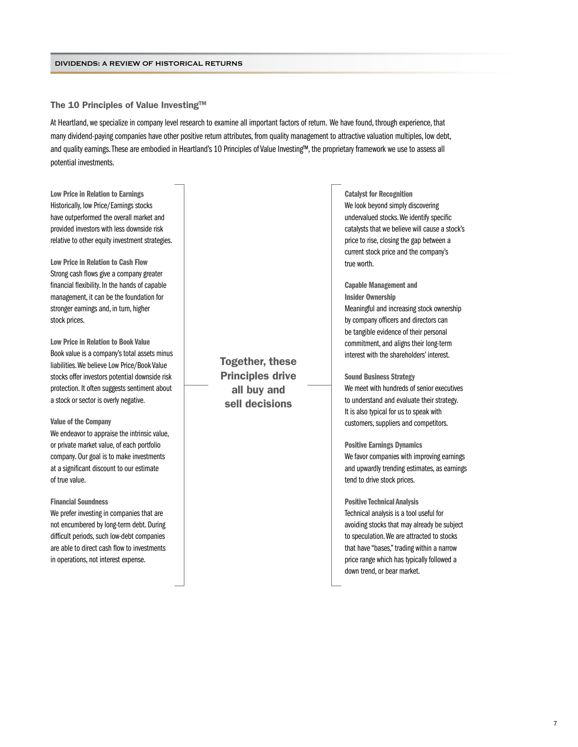The 10 Principles of Value Investing™

At Heartland, we specialize in company level research to examine all important factors of return. We have found, through experience, that many dividend-paying companies have other positive return attributes, from quality management to attractive valuation multiples, low debt, and quality earnings. These are embodied in Heartland's 10 Principles of Value Investing™, the proprietary framework we use to assess all potential investments.

Low Price in Relation to Earnings Historically, low Price/Earnings stocks have outperformed the overall market and provided investors with less downside risk relative to other equity investment strategies.

Low Price in Relation to Cash Flow Strong cash flows give a company greater financial flexibility. In the hands of capable management, it can be the foundation for stronger earnings and, in turn, higher stock prices.

Low Price in Relation to Book Value Book value is a company's total assets minus liabilities. We believe Low Price/Book Value stocks offer investors potential downside risk protection. It often suggests sentiment about a stock or sector is overly negative.

#### Value of the Company

We endeavor to appraise the intrinsic value, or private market value, of each portfolio company. Our goal is to make investments at a significant discount to our estimate of true value.

#### Financial Soundness

We prefer investing in companies that are not encumbered by long-term debt. During difficult periods, such low-debt companies are able to direct cash flow to investments in operations, not interest expense.

Together, these Principles drive all buy and sell decisions

Catalyst for Recognition We look beyond simply discovering undervalued stocks. We identify specific catalysts that we believe will cause a stock's price to rise, closing the gap between a current stock price and the company's true worth.

### Capable Management and Insider Ownership Meaningful and increasing stock ownership by company officers and directors can be tangible evidence of their personal commitment, and aligns their long-term interest with the shareholders' interest.

#### Sound Business Strategy

We meet with hundreds of senior executives to understand and evaluate their strategy. It is also typical for us to speak with customers, suppliers and competitors.

#### Positive Earnings Dynamics

We favor companies with improving earnings and upwardly trending estimates, as earnings tend to drive stock prices.

#### Positive Technical Analysis

Technical analysis is a tool useful for avoiding stocks that may already be subject to speculation. We are attracted to stocks that have "bases," trading within a narrow price range which has typically followed a down trend, or bear market.